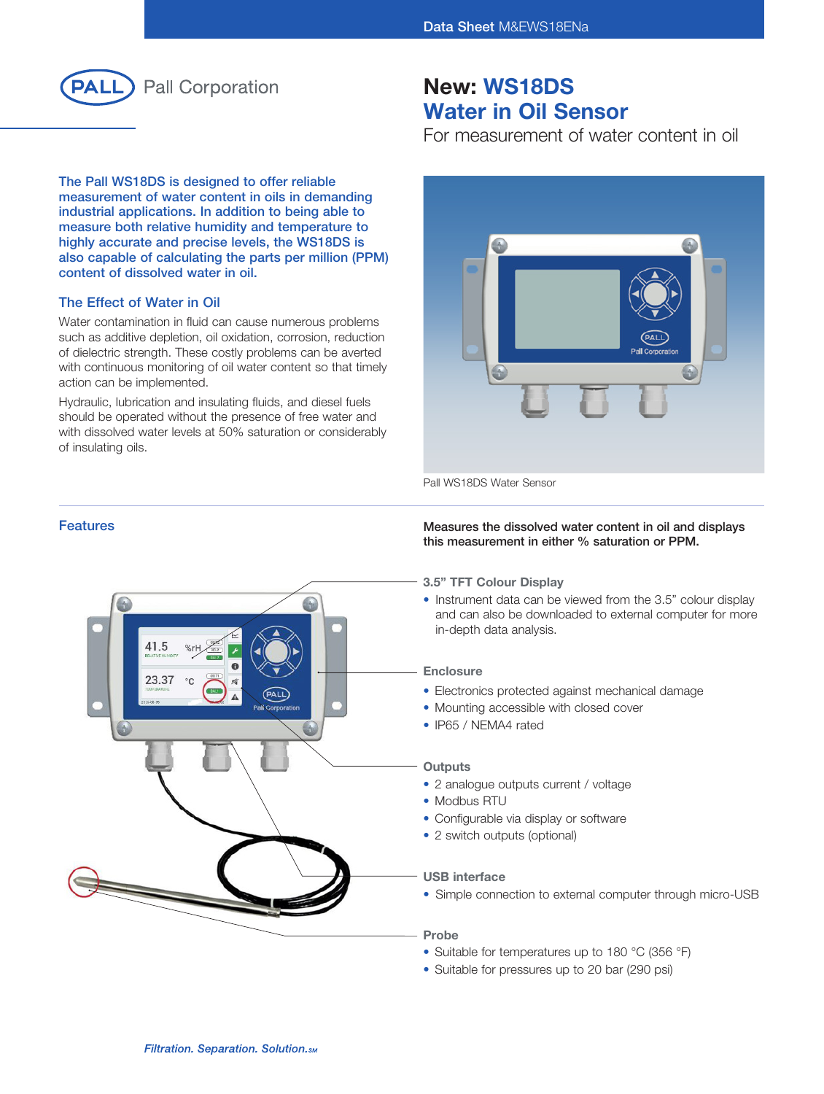

The Pall WS18DS is designed to offer reliable measurement of water content in oils in demanding industrial applications. In addition to being able to measure both relative humidity and temperature to highly accurate and precise levels, the WS18DS is also capable of calculating the parts per million (PPM) content of dissolved water in oil.

# The Effect of Water in Oil

Water contamination in fluid can cause numerous problems such as additive depletion, oil oxidation, corrosion, reduction of dielectric strength. These costly problems can be averted with continuous monitoring of oil water content so that timely action can be implemented.

Hydraulic, lubrication and insulating fluids, and diesel fuels should be operated without the presence of free water and with dissolved water levels at 50% saturation or considerably of insulating oils.

# New: WS18DS Water in Oil Sensor

For measurement of water content in oil



Pall WS18DS Water Sensor

#### Features **Features Measures** the dissolved water content in oil and displays this measurement in either % saturation or PPM.

3.5" TFT Colour Display

• Instrument data can be viewed from the 3.5" colour display and can also be downloaded to external computer for more in-depth data analysis.

#### **Enclosure**

- Electronics protected against mechanical damage
- Mounting accessible with closed cover
- IP65 / NEMA4 rated

# **Outputs**

- 2 analogue outputs current / voltage
- Modbus RTU
- Configurable via display or software
- 2 switch outputs (optional)

# USB interface

• Simple connection to external computer through micro-USB

# Probe

- Suitable for temperatures up to 180 °C (356 °F)
- Suitable for pressures up to 20 bar (290 psi)

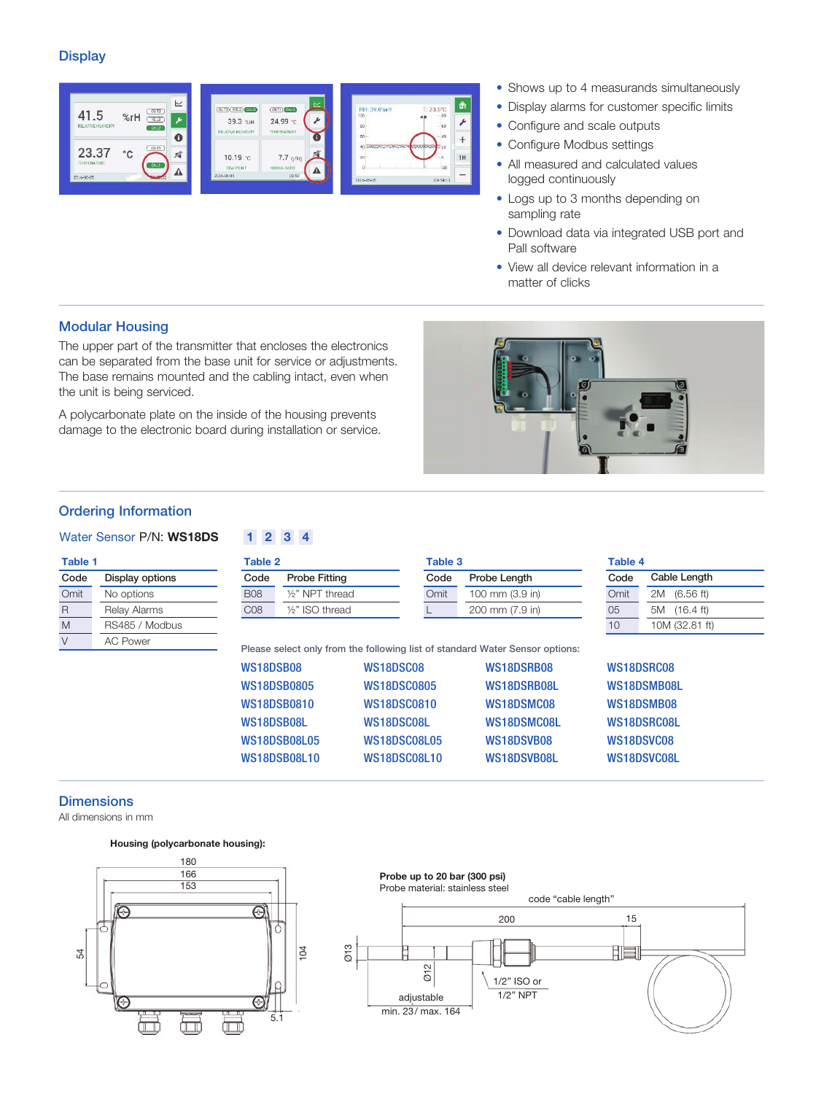## **Display**



- Shows up to 4 measurands simultaneously
- Display alarms for customer specific limits
- Configure and scale outputs
- Configure Modbus settings
- All measured and calculated values logged continuously
- Logs up to 3 months depending on sampling rate
- Download data via integrated USB port and Pall software
- View all device relevant information in a matter of clicks

# Modular Housing

The upper part of the transmitter that encloses the electronics can be separated from the base unit for service or adjustments. The base remains mounted and the cabling intact, even when the unit is being serviced.

A polycarbonate plate on the inside of the housing prevents damage to the electronic board during installation or service.



# Ordering Information

Table 1 Code **Omit** R M  $\overline{\vee}$ 

# Water Sensor P/N: WS18DS 1 2 3 4

Display options No options Relay Alarms RS485 / Modbus AC Power

| Code            | Probe Fitting                | Code | Probe Length    | Code | Cable Length              |
|-----------------|------------------------------|------|-----------------|------|---------------------------|
| <b>B08</b>      | 1/2" NPT thread              | Omit | 100 mm (3.9 in) | Omit | $(6.56)$ ft)<br>2M        |
| C <sub>08</sub> | 1/ <sub>2</sub> " ISO thread |      | 200 mm (7.9 in) | 05   | $(16.4 \text{ ft})$<br>5M |
|                 |                              |      |                 | 10   | 10M (32.81 ft)            |

| WS18DSB08           | WS18DSC08           | WS18DSRB08  | WS18DSRC08  |
|---------------------|---------------------|-------------|-------------|
| <b>WS18DSB0805</b>  | <b>WS18DSC0805</b>  | WS18DSRB08L | WS18DSMB08L |
| <b>WS18DSB0810</b>  | <b>WS18DSC0810</b>  | WS18DSMC08  | WS18DSMB08  |
| WS18DSB08L          | WS18DSC08L          | WS18DSMC08L | WS18DSRC08L |
| WS18DSB08L05        | WS18DSC08L05        | WS18DSVB08  | WS18DSVC08  |
| <b>WS18DSB08L10</b> | <b>WS18DSC08L10</b> | WS18DSVB08L | WS18DSVC08L |

# **Dimensions**

All dimensions in mm

# Housing (polycarbonate housing):